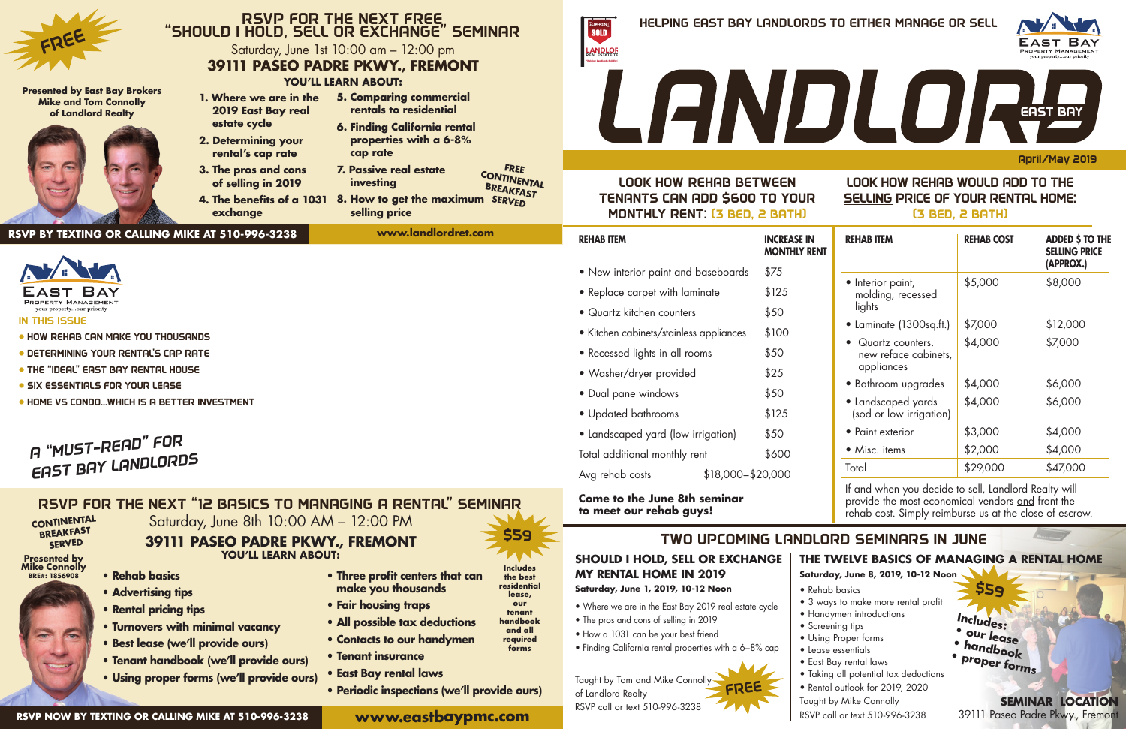April/May 2019

## LOOK HOW REHAB BETWEEN TENANTS CAN ADD \$600 TO YOUR MONTHLY RENT: (3 BED, 2 BATH)

### IN THIS ISSUE

- HOW REHAB CAN MAKE YOU THOUSANDS
- DETERMINING YOUR RENTAL'S CAP RATE
- THE "IDEAL" EAST BAY RENTAL HOUSE
- **SIX ESSENTIALS FOR YOUR LEASE**
- HOME VS CONDO…WHICH IS A BETTER INVESTMENT

## *A "MUST-READ" FOR EAST BAY LANDLORDS*

**39111 PASEO PADRE PKWY., FREMONT**

**Come to the June 8th seminar to meet our rehab guys!**

| <b>REHAB ITEM</b>                          | <b>INCREASE IN</b><br><b>MONTHLY RENT</b> | <b>REHAB ITEM</b>                                                   | <b>REHAB COST</b> | <b>ADDED \$ TO THE</b><br><b>SELLING PRICE</b> |
|--------------------------------------------|-------------------------------------------|---------------------------------------------------------------------|-------------------|------------------------------------------------|
| • New interior paint and baseboards        | \$75                                      |                                                                     |                   | (APPROX.)                                      |
| • Replace carpet with laminate             | \$125                                     | • Interior paint,<br>molding, recessed                              | \$5,000           | \$8,000                                        |
| • Quartz kitchen counters                  | \$50                                      | lights                                                              |                   |                                                |
| • Kitchen cabinets/stainless appliances    | \$100                                     | • Laminate (1300sq.ft.)                                             | \$7,000           | \$12,000                                       |
| • Recessed lights in all rooms             | \$50                                      | Quartz counters.<br>$\bullet$<br>new reface cabinets,<br>appliances | \$4,000           | \$7,000                                        |
| · Washer/dryer provided                    | \$25                                      | • Bathroom upgrades                                                 | \$4,000           | \$6,000                                        |
| • Dual pane windows<br>• Updated bathrooms | \$50<br>\$125                             | • Landscaped yards<br>(sod or low irrigation)                       | \$4,000           | \$6,000                                        |
| • Landscaped yard (low irrigation)         | \$50                                      | • Paint exterior                                                    | \$3,000           | \$4,000                                        |
| Total additional monthly rent              | \$600                                     | • Misc. items                                                       | \$2,000           | \$4,000                                        |
| \$18,000-\$20,000<br>Avg rehab costs       |                                           | Total                                                               | \$29,000          | \$47,000                                       |

## RSVP FOR THE NEXT FREE "SHOULD I HOLD, SELL OR EXCHANGE" SEMINAR Saturday, June 1st 10:00 am – 12:00 pm

If and when you decide to sell, Landlord Realty will provide the most economical vendors and front the rehab cost. Simply reimburse us at the close of escrow.

## LOOK HOW REHAB WOULD ADD TO THE SELLING PRICE OF YOUR RENTAL HOME:

(3 BED, 2 BATH)

### **SHOULD I HOLD, SELL OR EXCHANGE MY RENTAL HOME IN 2019 Saturday, June 1, 2019, 10-12 Noon**

- Where we are in the East Bay 2019 real estate cycle
- 
- The pros and cons of selling in 2019
- How a 1031 can be your best friend
- Finding California rental properties with a 6–8% cap
	-

## **BREAKFAST SERVED**

**THE TWELVE BASICS OF MANAGING A RENTAL HOME**

#### RSVP FOR THE NEXT "12 BASICS TO MANAGING A RENTAL" SEMINAR Saturday, June 8th 10:00 AM – 12:00 PM **CONTINENTAL**

**Saturday, June 8, 2019, 10-12 Noon** • Rehab basics • 3 ways to make more rental profit • Handymen introductions • Screening tips • Using Proper forms • Lease essentials • East Bay rental laws • Taking all potential tax deductions • Rental outlook for 2019, 2020

Taught by Tom and Mike Connolly of Landlord Realty RSVP call or text 510-996-3238 FREE

- 
- 
- 
- 
- 
- 



Taught by Mike Connolly RSVP call or text 510-996-3238

**SEMINAR LOCATION** 39111 Paseo Padre Pkwy., Fremont

## TWO UPCOMING LANDLORD SEMINARS IN JUNE

\$59

## **YOU'LL LEARN ABOUT:**



## **39111 PASEO PADRE PKWY., FREMONT**

**• Rehab basics • Advertising tips • Rental pricing tips**

**• Turnovers with minimal vacancy**

**• Best lease (we'll provide ours)**

**• Tenant handbook (we'll provide ours) • Using proper forms (we'll provide ours)**

**Includes: • our lease • handbook • proper forms**

## **www.eastbaypmc.com**

# **RSVP BY TEXTING OR CALLING MIKE AT 510-996-3238**



#### **Presented by East Bay Brokers Mike and Tom Connolly of Landlord Realty**



**FREE CONTINENTAL** 

 **estate cycle 2. Determining your rental's cap rate 3. The pros and cons of selling in 2019**

 **exchange**

- **1. Where we are in the 2019 East Bay real 5. Comparing commercial rentals to residential**
	- **6. Finding California rental properties with a 6-8% cap rate**
	- **7. Passive real estate investing**
- **BREAKFAST SERVED 4. The benefits of a 1031 8. How to get the maximum selling price**

**www.landlordret.com**

**RSVP NOW BY TEXTING OR CALLING MIKE AT 510-996-3238**

\$59

- **YOU'LL LEARN ABOUT: • Three profit centers that can** 
	- **make you thousands**
	- **Fair housing traps**
	- **All possible tax deductions**
	- **Contacts to our handymen**
	- **Tenant insurance**
	- **East Bay rental laws**
	- **Periodic inspections (we'll provide ours)**

**Presented by Mike Connolly BRE#: 1856908**



**handbook and all required forms**